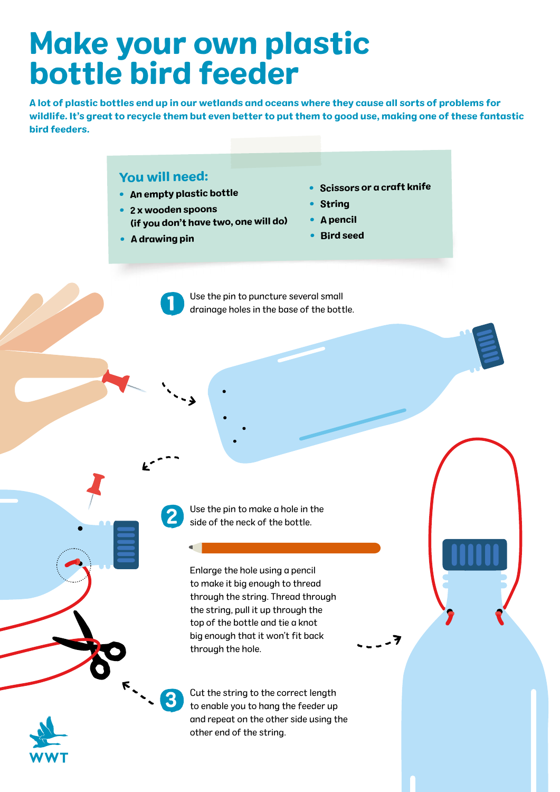## Make your own plastic bottle bird feeder

A lot of plastic bottles end up in our wetlands and oceans where they cause all sorts of problems for wildlife. It's great to recycle them but even better to put them to good use, making one of these fantastic bird feeders.

## You will need:

- An empty plastic bottle
- 2 x wooden spoons (if you don't have two, one will do)
- A drawing pin

1

2

 $\blacksquare$ 

3

•Scissors or a craft knife

- 7

- String
- A pencil
- Bird seed

Use the pin to puncture several small drainage holes in the base of the bottle.

Use the pin to make a hole in the side of the neck of the bottle.

Enlarge the hole using a pencil to make it big enough to thread through the string. Thread through the string, pull it up through the top of the bottle and tie a knot big enough that it won't fit back through the hole.

Cut the string to the correct length to enable you to hang the feeder up and repeat on the other side using the other end of the string.